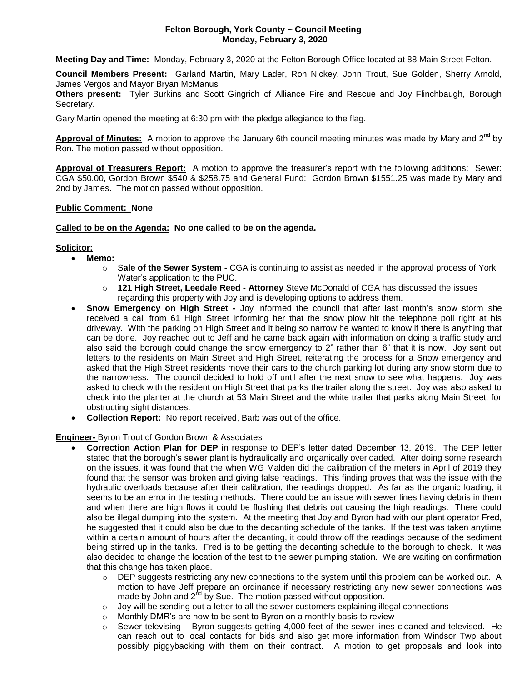### **Felton Borough, York County ~ Council Meeting Monday, February 3, 2020**

**Meeting Day and Time:** Monday, February 3, 2020 at the Felton Borough Office located at 88 Main Street Felton.

**Council Members Present:** Garland Martin, Mary Lader, Ron Nickey, John Trout, Sue Golden, Sherry Arnold, James Vergos and Mayor Bryan McManus

**Others present:** Tyler Burkins and Scott Gingrich of Alliance Fire and Rescue and Joy Flinchbaugh, Borough Secretary.

Gary Martin opened the meeting at 6:30 pm with the pledge allegiance to the flag.

**Approval of Minutes:** A motion to approve the January 6th council meeting minutes was made by Mary and 2<sup>nd</sup> by Ron. The motion passed without opposition.

**Approval of Treasurers Report:** A motion to approve the treasurer's report with the following additions: Sewer: CGA \$50.00, Gordon Brown \$540 & \$258.75 and General Fund: Gordon Brown \$1551.25 was made by Mary and 2nd by James. The motion passed without opposition.

# **Public Comment: None**

### **Called to be on the Agenda: No one called to be on the agenda.**

### **Solicitor:**

- **Memo:** 
	- o S**ale of the Sewer System -** CGA is continuing to assist as needed in the approval process of York Water's application to the PUC.
	- o **121 High Street, Leedale Reed - Attorney** Steve McDonald of CGA has discussed the issues regarding this property with Joy and is developing options to address them.
- **Snow Emergency on High Street -** Joy informed the council that after last month's snow storm she received a call from 61 High Street informing her that the snow plow hit the telephone poll right at his driveway. With the parking on High Street and it being so narrow he wanted to know if there is anything that can be done. Joy reached out to Jeff and he came back again with information on doing a traffic study and also said the borough could change the snow emergency to 2" rather than 6" that it is now. Joy sent out letters to the residents on Main Street and High Street, reiterating the process for a Snow emergency and asked that the High Street residents move their cars to the church parking lot during any snow storm due to the narrowness. The council decided to hold off until after the next snow to see what happens. Joy was asked to check with the resident on High Street that parks the trailer along the street. Joy was also asked to check into the planter at the church at 53 Main Street and the white trailer that parks along Main Street, for obstructing sight distances.
- **Collection Report:** No report received, Barb was out of the office.

### **Engineer-** Byron Trout of Gordon Brown & Associates

- **Correction Action Plan for DEP** in response to DEP's letter dated December 13, 2019. The DEP letter stated that the borough's sewer plant is hydraulically and organically overloaded. After doing some research on the issues, it was found that the when WG Malden did the calibration of the meters in April of 2019 they found that the sensor was broken and giving false readings. This finding proves that was the issue with the hydraulic overloads because after their calibration, the readings dropped. As far as the organic loading, it seems to be an error in the testing methods. There could be an issue with sewer lines having debris in them and when there are high flows it could be flushing that debris out causing the high readings. There could also be illegal dumping into the system. At the meeting that Joy and Byron had with our plant operator Fred, he suggested that it could also be due to the decanting schedule of the tanks. If the test was taken anytime within a certain amount of hours after the decanting, it could throw off the readings because of the sediment being stirred up in the tanks. Fred is to be getting the decanting schedule to the borough to check. It was also decided to change the location of the test to the sewer pumping station. We are waiting on confirmation that this change has taken place.
	- $\circ$  DEP suggests restricting any new connections to the system until this problem can be worked out. A motion to have Jeff prepare an ordinance if necessary restricting any new sewer connections was made by John and  $2<sup>nd</sup>$  by Sue. The motion passed without opposition.
	- $\circ$  Joy will be sending out a letter to all the sewer customers explaining illegal connections
	- $\circ$  Monthly DMR's are now to be sent to Byron on a monthly basis to review
	- $\circ$  Sewer televising Byron suggests getting 4,000 feet of the sewer lines cleaned and televised. He can reach out to local contacts for bids and also get more information from Windsor Twp about possibly piggybacking with them on their contract. A motion to get proposals and look into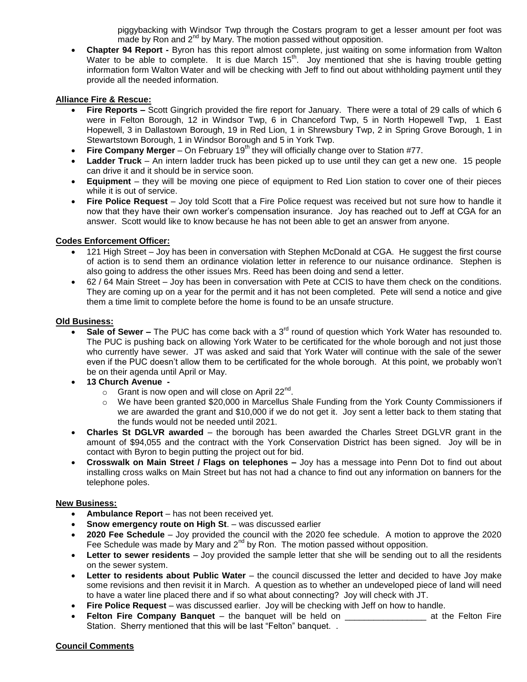piggybacking with Windsor Twp through the Costars program to get a lesser amount per foot was made by Ron and  $2^{nd}$  by Mary. The motion passed without opposition.

 **Chapter 94 Report -** Byron has this report almost complete, just waiting on some information from Walton Water to be able to complete. It is due March  $15<sup>th</sup>$ . Joy mentioned that she is having trouble getting information form Walton Water and will be checking with Jeff to find out about withholding payment until they provide all the needed information.

### **Alliance Fire & Rescue:**

- **Fire Reports –** Scott Gingrich provided the fire report for January. There were a total of 29 calls of which 6 were in Felton Borough, 12 in Windsor Twp, 6 in Chanceford Twp, 5 in North Hopewell Twp, 1 East Hopewell, 3 in Dallastown Borough, 19 in Red Lion, 1 in Shrewsbury Twp, 2 in Spring Grove Borough, 1 in Stewartstown Borough, 1 in Windsor Borough and 5 in York Twp.
- **Fire Company Merger** On February 19<sup>th</sup> they will officially change over to Station #77.
- **Ladder Truck**  An intern ladder truck has been picked up to use until they can get a new one. 15 people can drive it and it should be in service soon.
- **Equipment**  they will be moving one piece of equipment to Red Lion station to cover one of their pieces while it is out of service.
- **Fire Police Request**  Joy told Scott that a Fire Police request was received but not sure how to handle it now that they have their own worker's compensation insurance. Joy has reached out to Jeff at CGA for an answer. Scott would like to know because he has not been able to get an answer from anyone.

### **Codes Enforcement Officer:**

- 121 High Street Joy has been in conversation with Stephen McDonald at CGA. He suggest the first course of action is to send them an ordinance violation letter in reference to our nuisance ordinance. Stephen is also going to address the other issues Mrs. Reed has been doing and send a letter.
- 62 / 64 Main Street Joy has been in conversation with Pete at CCIS to have them check on the conditions. They are coming up on a year for the permit and it has not been completed. Pete will send a notice and give them a time limit to complete before the home is found to be an unsafe structure.

### **Old Business:**

- Sale of Sewer The PUC has come back with a 3<sup>rd</sup> round of question which York Water has resounded to. The PUC is pushing back on allowing York Water to be certificated for the whole borough and not just those who currently have sewer. JT was asked and said that York Water will continue with the sale of the sewer even if the PUC doesn't allow them to be certificated for the whole borough. At this point, we probably won't be on their agenda until April or May.
- **13 Church Avenue -**
	- $\circ$  Grant is now open and will close on April 22<sup>nd</sup>.
	- o We have been granted \$20,000 in Marcellus Shale Funding from the York County Commissioners if we are awarded the grant and \$10,000 if we do not get it. Joy sent a letter back to them stating that the funds would not be needed until 2021.
- **Charles St DGLVR awarded** the borough has been awarded the Charles Street DGLVR grant in the amount of \$94,055 and the contract with the York Conservation District has been signed. Joy will be in contact with Byron to begin putting the project out for bid.
- **Crosswalk on Main Street / Flags on telephones –** Joy has a message into Penn Dot to find out about installing cross walks on Main Street but has not had a chance to find out any information on banners for the telephone poles.

### **New Business:**

- **Ambulance Report** has not been received yet.
- **Snow emergency route on High St**. was discussed earlier
- **2020 Fee Schedule** Joy provided the council with the 2020 fee schedule. A motion to approve the 2020 Fee Schedule was made by Mary and  $2^{nd}$  by Ron. The motion passed without opposition.
- **Letter to sewer residents** Joy provided the sample letter that she will be sending out to all the residents on the sewer system.
- **Letter to residents about Public Water** the council discussed the letter and decided to have Joy make some revisions and then revisit it in March. A question as to whether an undeveloped piece of land will need to have a water line placed there and if so what about connecting? Joy will check with JT.
- **Fire Police Request** was discussed earlier. Joy will be checking with Jeff on how to handle.
- **Felton Fire Company Banquet** the banquet will be held on \_\_\_\_\_\_\_\_\_\_\_\_\_\_\_\_\_ at the Felton Fire Station. Sherry mentioned that this will be last "Felton" banquet. .

### **Council Comments**